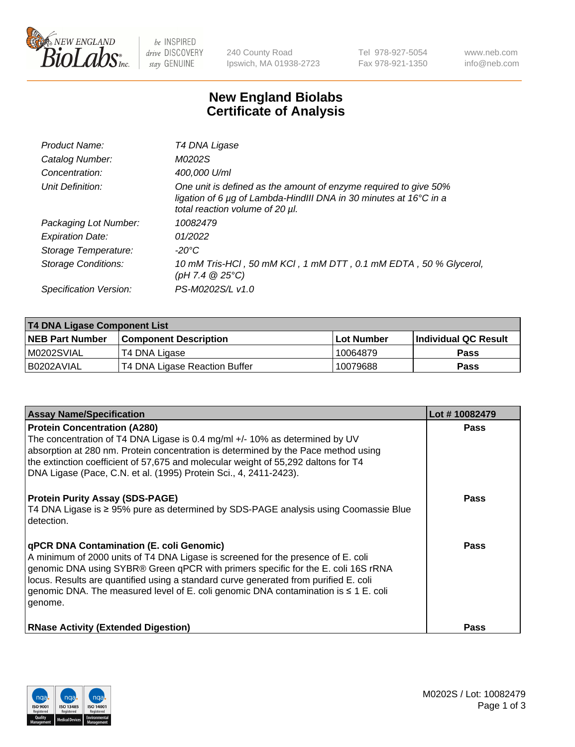

 $be$  INSPIRED drive DISCOVERY stay GENUINE

240 County Road Ipswich, MA 01938-2723 Tel 978-927-5054 Fax 978-921-1350 www.neb.com info@neb.com

## **New England Biolabs Certificate of Analysis**

| Product Name:              | T4 DNA Ligase                                                                                                                                                            |
|----------------------------|--------------------------------------------------------------------------------------------------------------------------------------------------------------------------|
| Catalog Number:            | M0202S                                                                                                                                                                   |
| Concentration:             | 400,000 U/ml                                                                                                                                                             |
| Unit Definition:           | One unit is defined as the amount of enzyme required to give 50%<br>ligation of 6 µg of Lambda-HindIII DNA in 30 minutes at 16°C in a<br>total reaction volume of 20 µl. |
| Packaging Lot Number:      | 10082479                                                                                                                                                                 |
| <b>Expiration Date:</b>    | 01/2022                                                                                                                                                                  |
| Storage Temperature:       | $-20^{\circ}$ C                                                                                                                                                          |
| <b>Storage Conditions:</b> | 10 mM Tris-HCl, 50 mM KCl, 1 mM DTT, 0.1 mM EDTA, 50 % Glycerol,<br>(pH 7.4 $@25°C$ )                                                                                    |
| Specification Version:     | PS-M0202S/L v1.0                                                                                                                                                         |

| T4 DNA Ligase Component List |                               |              |                             |  |  |
|------------------------------|-------------------------------|--------------|-----------------------------|--|--|
| <b>NEB Part Number</b>       | <b>Component Description</b>  | l Lot Number | <b>Individual QC Result</b> |  |  |
| M0202SVIAL                   | T4 DNA Ligase                 | 10064879     | <b>Pass</b>                 |  |  |
| I B0202AVIAL                 | T4 DNA Ligase Reaction Buffer | 10079688     | <b>Pass</b>                 |  |  |

| <b>Assay Name/Specification</b>                                                                                                                                                                                                                                                                                                                                                                             | Lot #10082479 |
|-------------------------------------------------------------------------------------------------------------------------------------------------------------------------------------------------------------------------------------------------------------------------------------------------------------------------------------------------------------------------------------------------------------|---------------|
| <b>Protein Concentration (A280)</b><br>The concentration of T4 DNA Ligase is 0.4 mg/ml +/- 10% as determined by UV<br>absorption at 280 nm. Protein concentration is determined by the Pace method using<br>the extinction coefficient of 57,675 and molecular weight of 55,292 daltons for T4<br>DNA Ligase (Pace, C.N. et al. (1995) Protein Sci., 4, 2411-2423).                                         | <b>Pass</b>   |
| <b>Protein Purity Assay (SDS-PAGE)</b><br>T4 DNA Ligase is ≥ 95% pure as determined by SDS-PAGE analysis using Coomassie Blue<br>detection.                                                                                                                                                                                                                                                                 | <b>Pass</b>   |
| qPCR DNA Contamination (E. coli Genomic)<br>A minimum of 2000 units of T4 DNA Ligase is screened for the presence of E. coli<br>genomic DNA using SYBR® Green qPCR with primers specific for the E. coli 16S rRNA<br>locus. Results are quantified using a standard curve generated from purified E. coli<br>genomic DNA. The measured level of E. coli genomic DNA contamination is ≤ 1 E. coli<br>genome. | Pass          |
| <b>RNase Activity (Extended Digestion)</b>                                                                                                                                                                                                                                                                                                                                                                  | Pass          |

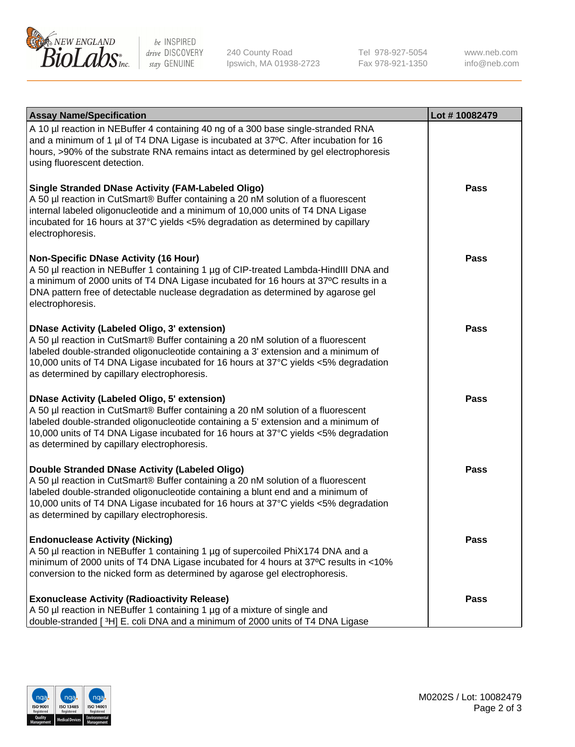

be INSPIRED drive DISCOVERY stay GENUINE

240 County Road Ipswich, MA 01938-2723 Tel 978-927-5054 Fax 978-921-1350 www.neb.com info@neb.com

| <b>Assay Name/Specification</b>                                                                                                                                                                                                                                                                                                                                      | Lot #10082479 |
|----------------------------------------------------------------------------------------------------------------------------------------------------------------------------------------------------------------------------------------------------------------------------------------------------------------------------------------------------------------------|---------------|
| A 10 µl reaction in NEBuffer 4 containing 40 ng of a 300 base single-stranded RNA<br>and a minimum of 1 µl of T4 DNA Ligase is incubated at 37°C. After incubation for 16<br>hours, >90% of the substrate RNA remains intact as determined by gel electrophoresis<br>using fluorescent detection.                                                                    |               |
| <b>Single Stranded DNase Activity (FAM-Labeled Oligo)</b><br>A 50 µl reaction in CutSmart® Buffer containing a 20 nM solution of a fluorescent<br>internal labeled oligonucleotide and a minimum of 10,000 units of T4 DNA Ligase<br>incubated for 16 hours at 37°C yields <5% degradation as determined by capillary<br>electrophoresis.                            | <b>Pass</b>   |
| <b>Non-Specific DNase Activity (16 Hour)</b><br>A 50 µl reaction in NEBuffer 1 containing 1 µg of CIP-treated Lambda-HindIII DNA and<br>a minimum of 2000 units of T4 DNA Ligase incubated for 16 hours at 37°C results in a<br>DNA pattern free of detectable nuclease degradation as determined by agarose gel<br>electrophoresis.                                 | <b>Pass</b>   |
| <b>DNase Activity (Labeled Oligo, 3' extension)</b><br>A 50 µl reaction in CutSmart® Buffer containing a 20 nM solution of a fluorescent<br>labeled double-stranded oligonucleotide containing a 3' extension and a minimum of<br>10,000 units of T4 DNA Ligase incubated for 16 hours at 37°C yields <5% degradation<br>as determined by capillary electrophoresis. | Pass          |
| <b>DNase Activity (Labeled Oligo, 5' extension)</b><br>A 50 µl reaction in CutSmart® Buffer containing a 20 nM solution of a fluorescent<br>labeled double-stranded oligonucleotide containing a 5' extension and a minimum of<br>10,000 units of T4 DNA Ligase incubated for 16 hours at 37°C yields <5% degradation<br>as determined by capillary electrophoresis. | <b>Pass</b>   |
| Double Stranded DNase Activity (Labeled Oligo)<br>A 50 µl reaction in CutSmart® Buffer containing a 20 nM solution of a fluorescent<br>labeled double-stranded oligonucleotide containing a blunt end and a minimum of<br>10,000 units of T4 DNA Ligase incubated for 16 hours at 37°C yields <5% degradation<br>as determined by capillary electrophoresis.         | <b>Pass</b>   |
| <b>Endonuclease Activity (Nicking)</b><br>A 50 µl reaction in NEBuffer 1 containing 1 µg of supercoiled PhiX174 DNA and a<br>minimum of 2000 units of T4 DNA Ligase incubated for 4 hours at 37°C results in <10%<br>conversion to the nicked form as determined by agarose gel electrophoresis.                                                                     | <b>Pass</b>   |
| <b>Exonuclease Activity (Radioactivity Release)</b><br>A 50 µl reaction in NEBuffer 1 containing 1 µg of a mixture of single and<br>double-stranded [3H] E. coli DNA and a minimum of 2000 units of T4 DNA Ligase                                                                                                                                                    | <b>Pass</b>   |